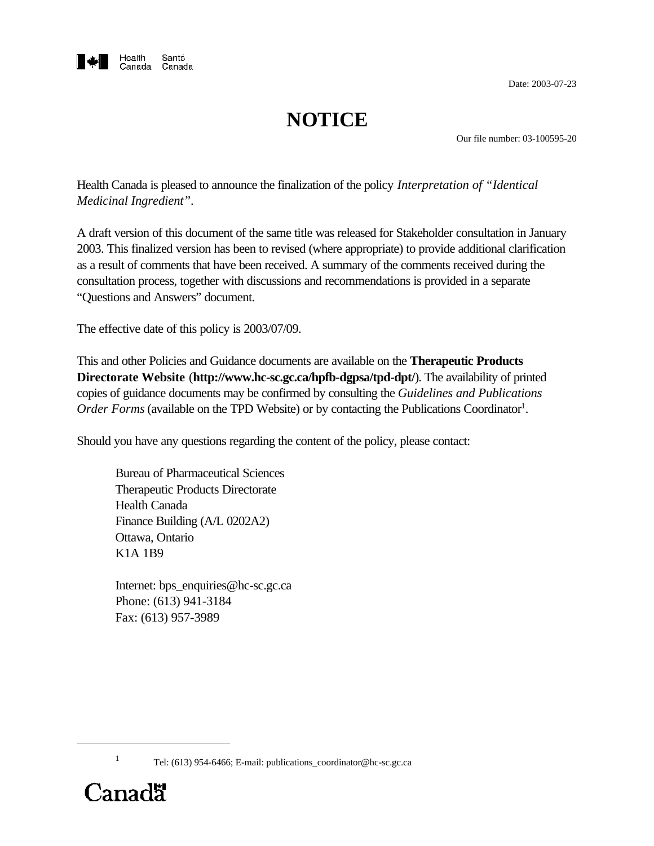

Date: 2003-07-23

# **NOTICE**

Our file number: 03-100595-20

Health Canada is pleased to announce the finalization of the policy *Interpretation of "Identical Medicinal Ingredient"*.

A draft version of this document of the same title was released for Stakeholder consultation in January 2003. This finalized version has been to revised (where appropriate) to provide additional clarification as a result of comments that have been received. A summary of the comments received during the consultation process, together with discussions and recommendations is provided in a separate "Questions and Answers" document.

The effective date of this policy is 2003/07/09.

This and other Policies and Guidance documents are available on the **Therapeutic Products Directorate Website** (**http://www.hc-sc.gc.ca/hpfb-dgpsa/tpd-dpt/**). The availability of printed copies of guidance documents may be confirmed by consulting the *Guidelines and Publications* Order Forms (available on the TPD Website) or by contacting the Publications Coordinator<sup>1</sup>.

Should you have any questions regarding the content of the policy, please contact:

Bureau of Pharmaceutical Sciences Therapeutic Products Directorate Health Canada Finance Building (A/L 0202A2) Ottawa, Ontario K1A 1B9

Internet: bps\_enquiries@hc-sc.gc.ca Phone: (613) 941-3184 Fax: (613) 957-3989

Tel: (613) 954-6466; E-mail: publications\_coordinator@hc-sc.gc.ca



1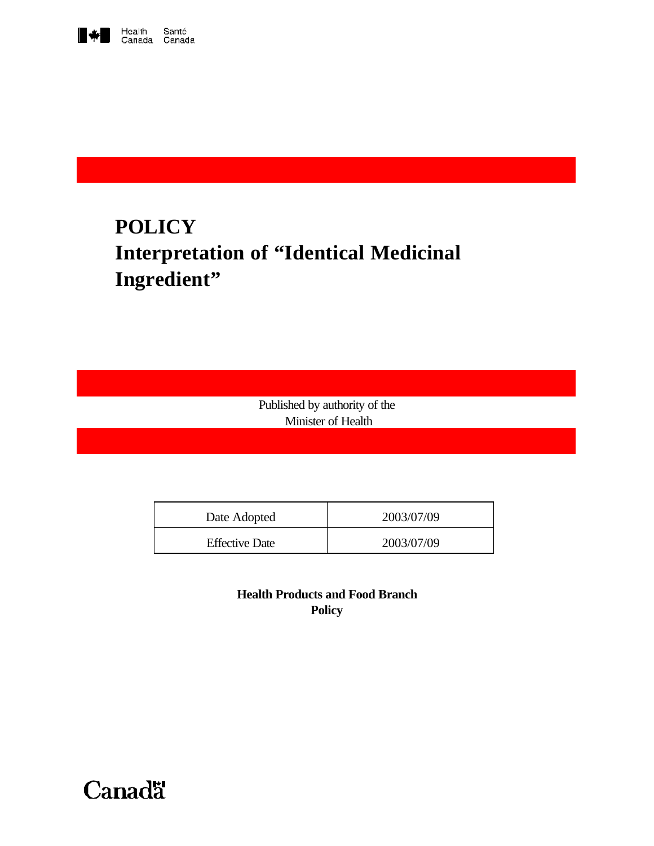

# **POLICY Interpretation of "Identical Medicinal Ingredient"**

Published by authority of the Minister of Health

| Date Adopted          | 2003/07/09 |
|-----------------------|------------|
| <b>Effective Date</b> | 2003/07/09 |

**Health Products and Food Branch Policy**

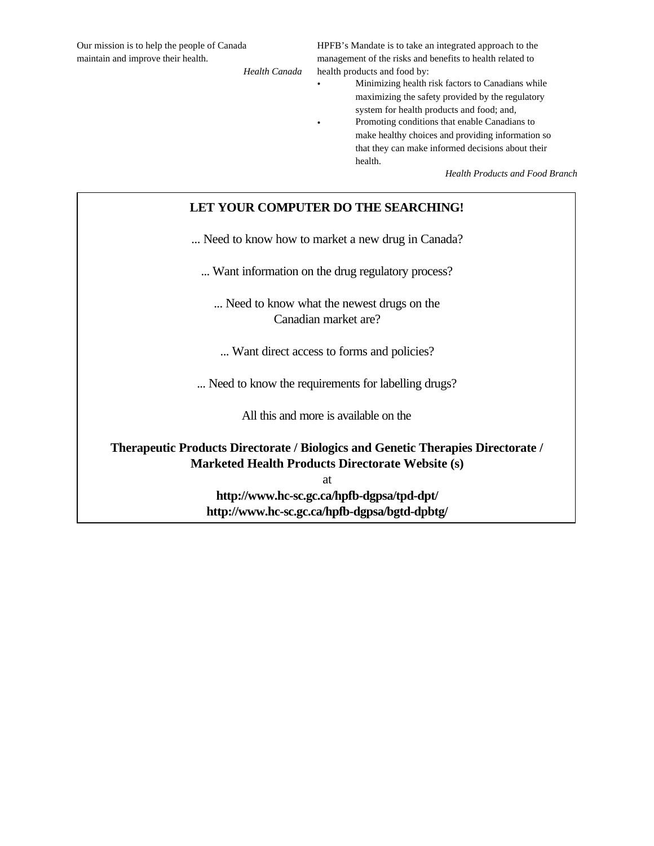Our mission is to help the people of Canada maintain and improve their health.

*Health Canada*

HPFB's Mandate is to take an integrated approach to the management of the risks and benefits to health related to health products and food by:

• Minimizing health risk factors to Canadians while maximizing the safety provided by the regulatory system for health products and food; and, • Promoting conditions that enable Canadians to make healthy choices and providing information so that they can make informed decisions about their health.

*Health Products and Food Branch*

#### **LET YOUR COMPUTER DO THE SEARCHING!**

... Need to know how to market a new drug in Canada?

... Want information on the drug regulatory process?

... Need to know what the newest drugs on the Canadian market are?

... Want direct access to forms and policies?

... Need to know the requirements for labelling drugs?

All this and more is available on the

**Therapeutic Products Directorate / Biologics and Genetic Therapies Directorate / Marketed Health Products Directorate Website (s)**

at

**http://www.hc-sc.gc.ca/hpfb-dgpsa/tpd-dpt/ http://www.hc-sc.gc.ca/hpfb-dgpsa/bgtd-dpbtg/**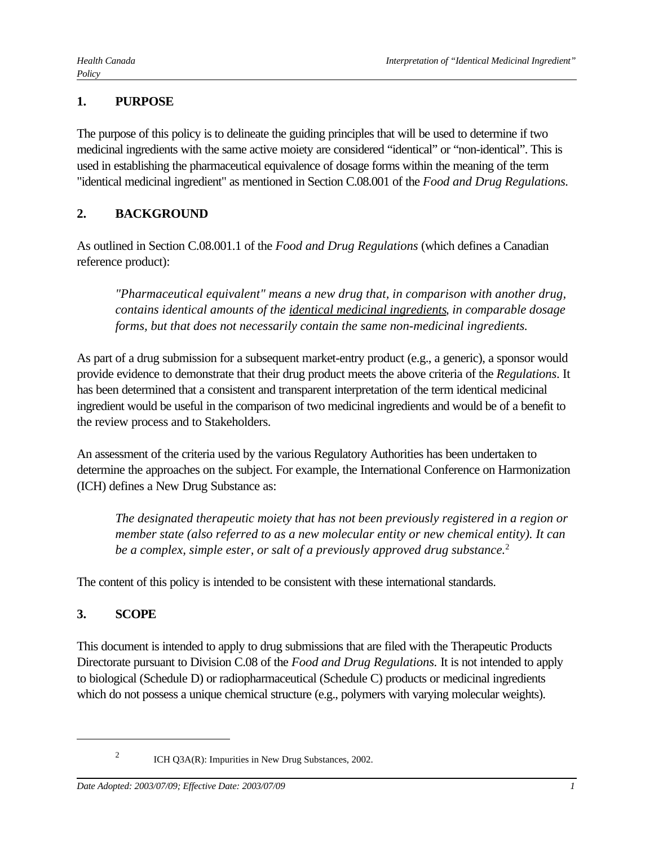## **1. PURPOSE**

The purpose of this policy is to delineate the guiding principles that will be used to determine if two medicinal ingredients with the same active moiety are considered "identical" or "non-identical". This is used in establishing the pharmaceutical equivalence of dosage forms within the meaning of the term "identical medicinal ingredient" as mentioned in Section C.08.001 of the *Food and Drug Regulations.*

## **2. BACKGROUND**

As outlined in Section C.08.001.1 of the *Food and Drug Regulations* (which defines a Canadian reference product):

*"Pharmaceutical equivalent" means a new drug that, in comparison with another drug, contains identical amounts of the identical medicinal ingredients, in comparable dosage forms, but that does not necessarily contain the same non-medicinal ingredients.*

As part of a drug submission for a subsequent market-entry product (e.g., a generic), a sponsor would provide evidence to demonstrate that their drug product meets the above criteria of the *Regulations*. It has been determined that a consistent and transparent interpretation of the term identical medicinal ingredient would be useful in the comparison of two medicinal ingredients and would be of a benefit to the review process and to Stakeholders.

An assessment of the criteria used by the various Regulatory Authorities has been undertaken to determine the approaches on the subject. For example, the International Conference on Harmonization (ICH) defines a New Drug Substance as:

*The designated therapeutic moiety that has not been previously registered in a region or member state (also referred to as a new molecular entity or new chemical entity). It can be a complex, simple ester, or salt of a previously approved drug substance.*<sup>2</sup>

The content of this policy is intended to be consistent with these international standards.

# **3. SCOPE**

This document is intended to apply to drug submissions that are filed with the Therapeutic Products Directorate pursuant to Division C.08 of the *Food and Drug Regulations.* It is not intended to apply to biological (Schedule D) or radiopharmaceutical (Schedule C) products or medicinal ingredients which do not possess a unique chemical structure (e.g., polymers with varying molecular weights).

<sup>2</sup>

ICH Q3A(R): Impurities in New Drug Substances, 2002.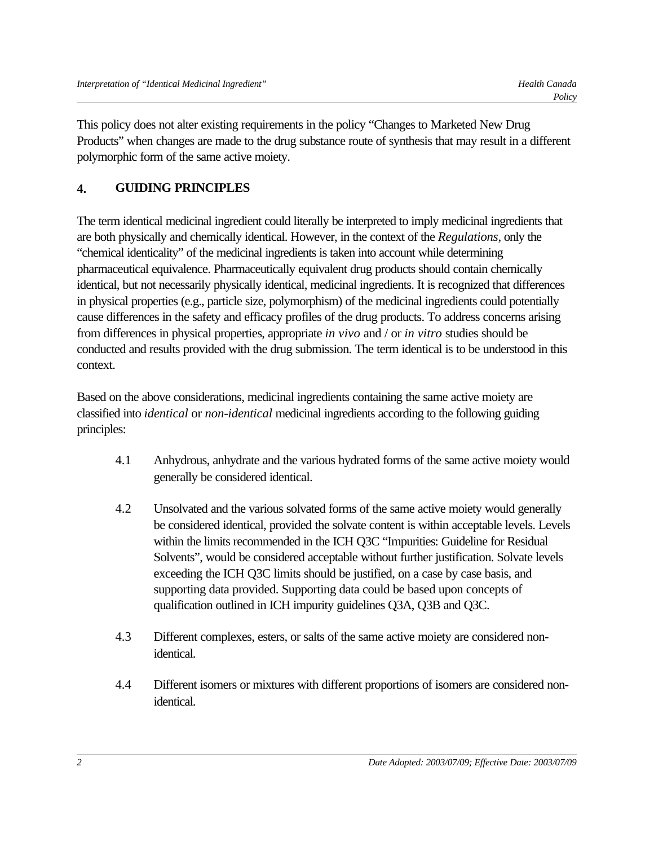This policy does not alter existing requirements in the policy "Changes to Marketed New Drug Products" when changes are made to the drug substance route of synthesis that may result in a different polymorphic form of the same active moiety.

# **4. GUIDING PRINCIPLES**

The term identical medicinal ingredient could literally be interpreted to imply medicinal ingredients that are both physically and chemically identical. However, in the context of the *Regulations*, only the "chemical identicality" of the medicinal ingredients is taken into account while determining pharmaceutical equivalence. Pharmaceutically equivalent drug products should contain chemically identical, but not necessarily physically identical, medicinal ingredients. It is recognized that differences in physical properties (e.g., particle size, polymorphism) of the medicinal ingredients could potentially cause differences in the safety and efficacy profiles of the drug products. To address concerns arising from differences in physical properties, appropriate *in vivo* and / or *in vitro* studies should be conducted and results provided with the drug submission. The term identical is to be understood in this context.

Based on the above considerations, medicinal ingredients containing the same active moiety are classified into *identical* or *non-identical* medicinal ingredients according to the following guiding principles:

- 4.1 Anhydrous, anhydrate and the various hydrated forms of the same active moiety would generally be considered identical.
- 4.2 Unsolvated and the various solvated forms of the same active moiety would generally be considered identical, provided the solvate content is within acceptable levels. Levels within the limits recommended in the ICH Q3C "Impurities: Guideline for Residual Solvents", would be considered acceptable without further justification. Solvate levels exceeding the ICH Q3C limits should be justified, on a case by case basis, and supporting data provided. Supporting data could be based upon concepts of qualification outlined in ICH impurity guidelines Q3A, Q3B and Q3C.
- 4.3 Different complexes, esters, or salts of the same active moiety are considered nonidentical.
- 4.4 Different isomers or mixtures with different proportions of isomers are considered nonidentical.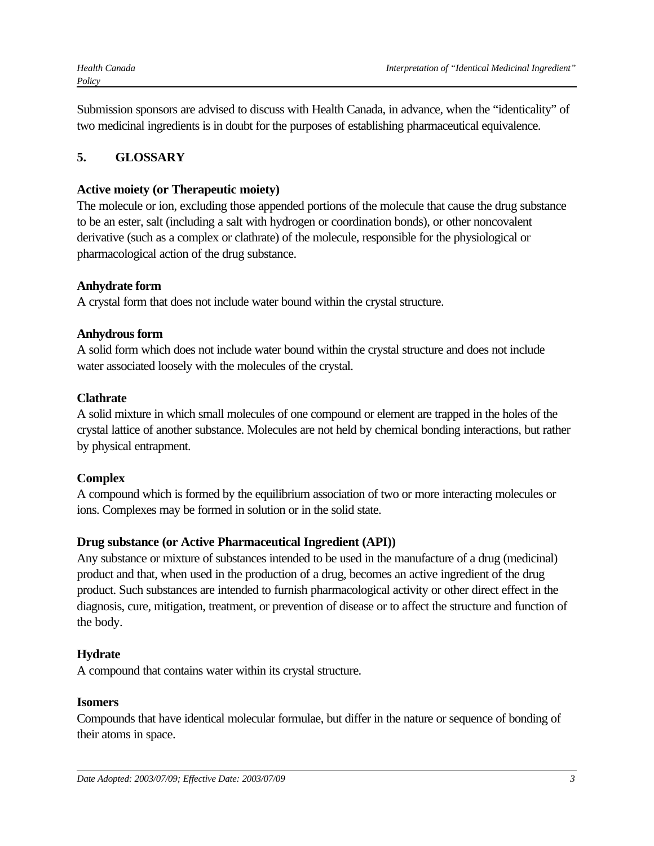Submission sponsors are advised to discuss with Health Canada, in advance, when the "identicality" of two medicinal ingredients is in doubt for the purposes of establishing pharmaceutical equivalence.

# **5. GLOSSARY**

## **Active moiety (or Therapeutic moiety)**

The molecule or ion, excluding those appended portions of the molecule that cause the drug substance to be an ester, salt (including a salt with hydrogen or coordination bonds), or other noncovalent derivative (such as a complex or clathrate) of the molecule, responsible for the physiological or pharmacological action of the drug substance.

## **Anhydrate form**

A crystal form that does not include water bound within the crystal structure.

## **Anhydrous form**

A solid form which does not include water bound within the crystal structure and does not include water associated loosely with the molecules of the crystal.

## **Clathrate**

A solid mixture in which small molecules of one compound or element are trapped in the holes of the crystal lattice of another substance. Molecules are not held by chemical bonding interactions, but rather by physical entrapment.

## **Complex**

A compound which is formed by the equilibrium association of two or more interacting molecules or ions. Complexes may be formed in solution or in the solid state.

## **Drug substance (or Active Pharmaceutical Ingredient (API))**

Any substance or mixture of substances intended to be used in the manufacture of a drug (medicinal) product and that, when used in the production of a drug, becomes an active ingredient of the drug product. Such substances are intended to furnish pharmacological activity or other direct effect in the diagnosis, cure, mitigation, treatment, or prevention of disease or to affect the structure and function of the body.

## **Hydrate**

A compound that contains water within its crystal structure.

## **Isomers**

Compounds that have identical molecular formulae, but differ in the nature or sequence of bonding of their atoms in space.